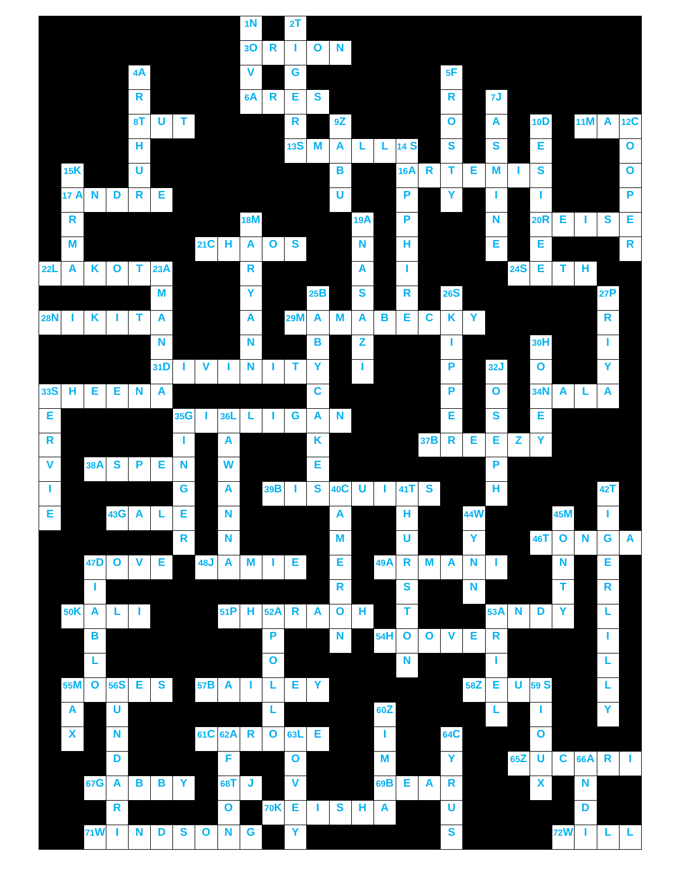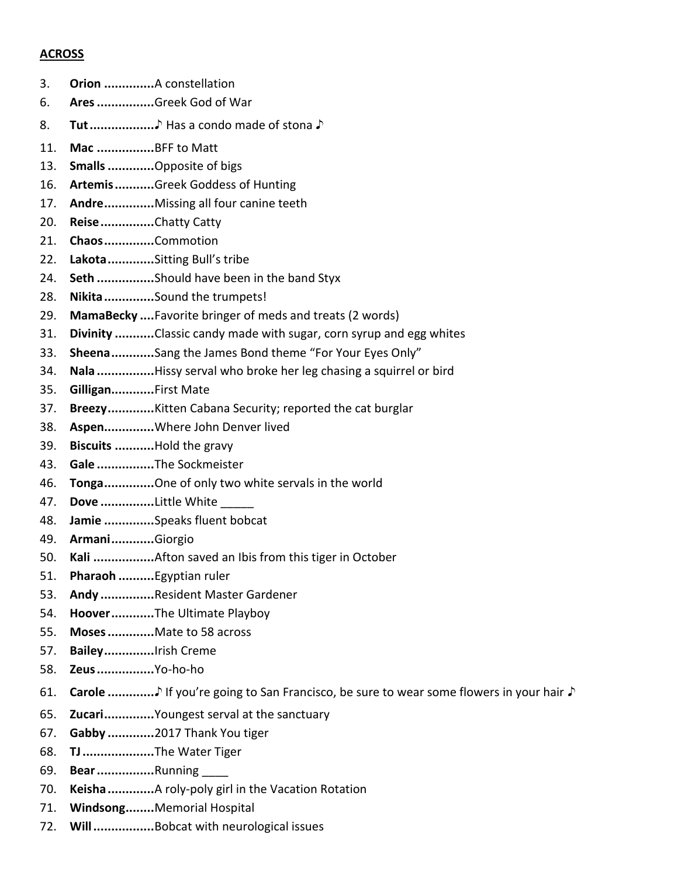## **ACROSS**

- 3. **Orion ..............**A constellation 6. **Ares................**Greek God of War 8. **Tut..................**♪ Has a condo made of stona ♪ 11. **Mac ................**BFF to Matt 13. **Smalls.............**Opposite of bigs 16. **Artemis...........**Greek Goddess of Hunting 17. **Andre..............**Missing all four canine teeth 20. **Reise...............**Chatty Catty 21. **Chaos..............**Commotion 22. **Lakota.............**Sitting Bull's tribe 24. **Seth ................**Should have been in the band Styx 28. **Nikita..............**Sound the trumpets! 29. **MamaBecky ....**Favorite bringer of meds and treats (2 words) 31. **Divinity ...........**Classic candy made with sugar, corn syrup and egg whites 33. **Sheena............**Sang the James Bond theme "For Your Eyes Only" 34. **Nala ................**Hissy serval who broke her leg chasing a squirrel or bird 35. **Gilligan............**First Mate 37. **Breezy.............**Kitten Cabana Security; reported the cat burglar 38. **Aspen..............**Where John Denver lived 39. **Biscuits ...........**Hold the gravy 43. **Gale ................**The Sockmeister 46. **Tonga..............**One of only two white servals in the world 47. **Dove ...............**Little White \_\_\_\_\_ 48. **Jamie ..............**Speaks fluent bobcat 49. **Armani............**Giorgio
- 50. **Kali .................**Afton saved an Ibis from this tiger in October
- 51. **Pharaoh ..........**Egyptian ruler
- 53. **Andy ...............**Resident Master Gardener
- 54. **Hoover............**The Ultimate Playboy
- 55. **Moses.............**Mate to 58 across
- 57. **Bailey..............**Irish Creme
- 58. **Zeus................**Yo-ho-ho
- 61. **Carole .............**♪ If you're going to San Francisco, be sure to wear some flowers in your hair ♪
- 65. **Zucari..............**Youngest serval at the sanctuary
- 67. **Gabby .............**2017 Thank You tiger
- 68. **TJ....................**The Water Tiger
- 69. **Bear................**Running \_\_\_\_
- 70. **Keisha.............**A roly-poly girl in the Vacation Rotation
- 71. **Windsong........**Memorial Hospital
- 72. **Will.................**Bobcat with neurological issues